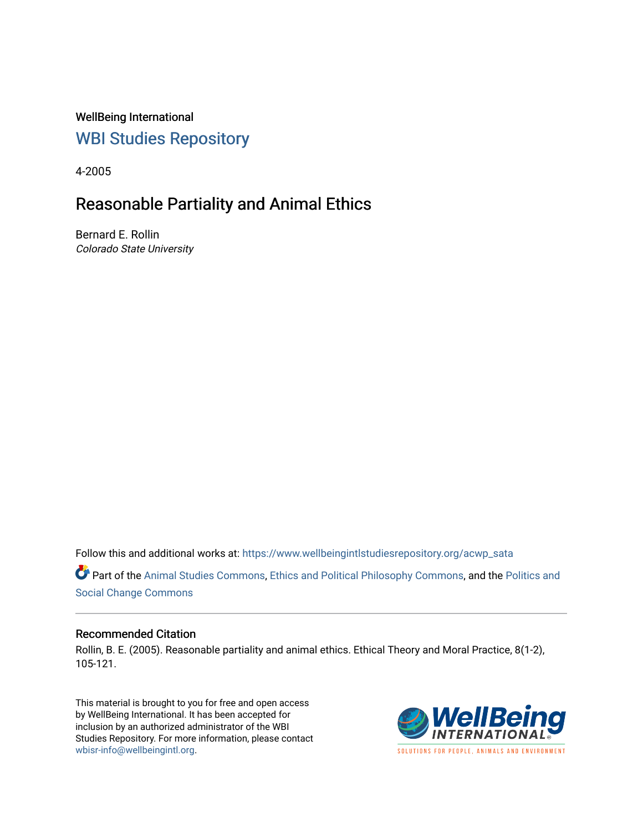WellBeing International [WBI Studies Repository](https://www.wellbeingintlstudiesrepository.org/)

4-2005

# Reasonable Partiality and Animal Ethics

Bernard E. Rollin Colorado State University

Follow this and additional works at: [https://www.wellbeingintlstudiesrepository.org/acwp\\_sata](https://www.wellbeingintlstudiesrepository.org/acwp_sata?utm_source=www.wellbeingintlstudiesrepository.org%2Facwp_sata%2F25&utm_medium=PDF&utm_campaign=PDFCoverPages)

Part of the [Animal Studies Commons,](http://network.bepress.com/hgg/discipline/1306?utm_source=www.wellbeingintlstudiesrepository.org%2Facwp_sata%2F25&utm_medium=PDF&utm_campaign=PDFCoverPages) [Ethics and Political Philosophy Commons,](http://network.bepress.com/hgg/discipline/529?utm_source=www.wellbeingintlstudiesrepository.org%2Facwp_sata%2F25&utm_medium=PDF&utm_campaign=PDFCoverPages) and the [Politics and](http://network.bepress.com/hgg/discipline/425?utm_source=www.wellbeingintlstudiesrepository.org%2Facwp_sata%2F25&utm_medium=PDF&utm_campaign=PDFCoverPages)  [Social Change Commons](http://network.bepress.com/hgg/discipline/425?utm_source=www.wellbeingintlstudiesrepository.org%2Facwp_sata%2F25&utm_medium=PDF&utm_campaign=PDFCoverPages) 

# Recommended Citation

Rollin, B. E. (2005). Reasonable partiality and animal ethics. Ethical Theory and Moral Practice, 8(1-2), 105-121.

This material is brought to you for free and open access by WellBeing International. It has been accepted for inclusion by an authorized administrator of the WBI Studies Repository. For more information, please contact [wbisr-info@wellbeingintl.org](mailto:wbisr-info@wellbeingintl.org).



SOLUTIONS FOR PEOPLE. ANIMALS AND ENVIRONMENT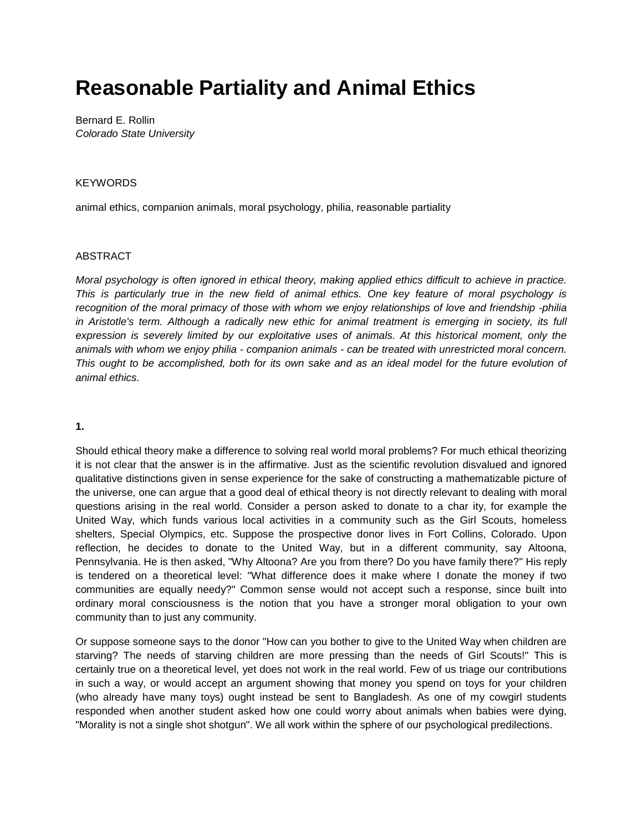# **Reasonable Partiality and Animal Ethics**

Bernard E. Rollin *Colorado State University*

#### **KEYWORDS**

animal ethics, companion animals, moral psychology, philia, reasonable partiality

#### ABSTRACT

*Moral psychology is often ignored in ethical theory, making applied ethics difficult to achieve in practice. This is particularly true in the new field of animal ethics. One key feature of moral psychology is recognition of the moral primacy of those with whom we enjoy relationships of love and friendship -philia*  in Aristotle's term. Although a radically new ethic for animal treatment is emerging in society, its full *expression is severely limited by our exploitative uses of animals. At this historical moment, only the animals with whom we enjoy philia - companion animals - can be treated with unrestricted moral concern. This ought to be accomplished, both for its own sake and as an ideal model for the future evolution of animal ethics.*

#### **1.**

Should ethical theory make a difference to solving real world moral problems? For much ethical theorizing it is not clear that the answer is in the affirmative. Just as the scientific revolution disvalued and ignored qualitative distinctions given in sense experience for the sake of constructing a mathematizable picture of the universe, one can argue that a good deal of ethical theory is not directly relevant to dealing with moral questions arising in the real world. Consider a person asked to donate to a char ity, for example the United Way, which funds various local activities in a community such as the Girl Scouts, homeless shelters, Special Olympics, etc. Suppose the prospective donor lives in Fort Collins, Colorado. Upon reflection, he decides to donate to the United Way, but in a different community, say Altoona, Pennsylvania. He is then asked, "Why Altoona? Are you from there? Do you have family there?" His reply is tendered on a theoretical level: "What difference does it make where I donate the money if two communities are equally needy?" Common sense would not accept such a response, since built into ordinary moral consciousness is the notion that you have a stronger moral obligation to your own community than to just any community.

Or suppose someone says to the donor "How can you bother to give to the United Way when children are starving? The needs of starving children are more pressing than the needs of Girl Scouts!" This is certainly true on a theoretical level, yet does not work in the real world. Few of us triage our contributions in such a way, or would accept an argument showing that money you spend on toys for your children (who already have many toys) ought instead be sent to Bangladesh. As one of my cowgirl students responded when another student asked how one could worry about animals when babies were dying, "Morality is not a single shot shotgun". We all work within the sphere of our psychological predilections.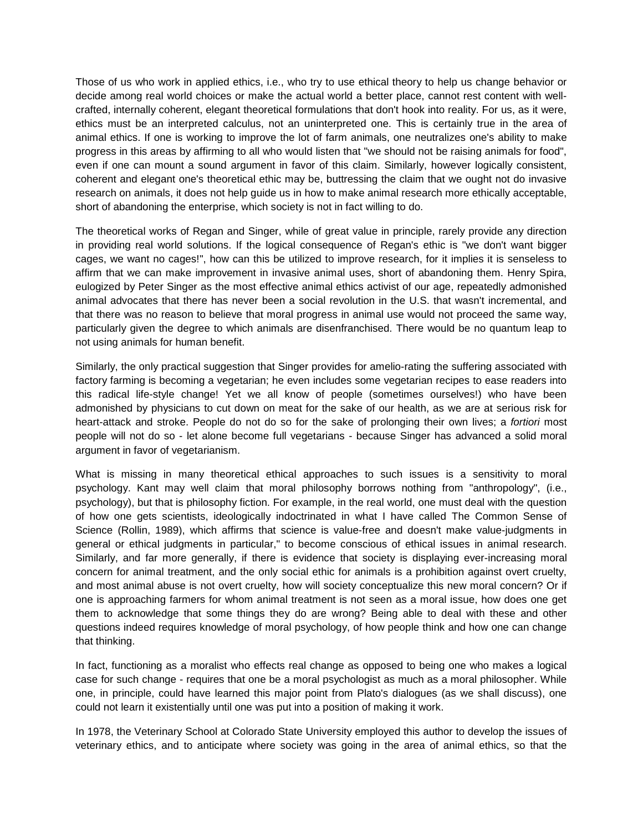Those of us who work in applied ethics, i.e., who try to use ethical theory to help us change behavior or decide among real world choices or make the actual world a better place, cannot rest content with wellcrafted, internally coherent, elegant theoretical formulations that don't hook into reality. For us, as it were, ethics must be an interpreted calculus, not an uninterpreted one. This is certainly true in the area of animal ethics. If one is working to improve the lot of farm animals, one neutralizes one's ability to make progress in this areas by affirming to all who would listen that "we should not be raising animals for food", even if one can mount a sound argument in favor of this claim. Similarly, however logically consistent, coherent and elegant one's theoretical ethic may be, buttressing the claim that we ought not do invasive research on animals, it does not help guide us in how to make animal research more ethically acceptable, short of abandoning the enterprise, which society is not in fact willing to do.

The theoretical works of Regan and Singer, while of great value in principle, rarely provide any direction in providing real world solutions. If the logical consequence of Regan's ethic is "we don't want bigger cages, we want no cages!", how can this be utilized to improve research, for it implies it is senseless to affirm that we can make improvement in invasive animal uses, short of abandoning them. Henry Spira, eulogized by Peter Singer as the most effective animal ethics activist of our age, repeatedly admonished animal advocates that there has never been a social revolution in the U.S. that wasn't incremental, and that there was no reason to believe that moral progress in animal use would not proceed the same way, particularly given the degree to which animals are disenfranchised. There would be no quantum leap to not using animals for human benefit.

Similarly, the only practical suggestion that Singer provides for amelio-rating the suffering associated with factory farming is becoming a vegetarian; he even includes some vegetarian recipes to ease readers into this radical life-style change! Yet we all know of people (sometimes ourselves!) who have been admonished by physicians to cut down on meat for the sake of our health, as we are at serious risk for heart-attack and stroke. People do not do so for the sake of prolonging their own lives; a *fortiori* most people will not do so - let alone become full vegetarians - because Singer has advanced a solid moral argument in favor of vegetarianism.

What is missing in many theoretical ethical approaches to such issues is a sensitivity to moral psychology. Kant may well claim that moral philosophy borrows nothing from "anthropology", (i.e., psychology), but that is philosophy fiction. For example, in the real world, one must deal with the question of how one gets scientists, ideologically indoctrinated in what I have called The Common Sense of Science (Rollin, 1989), which affirms that science is value-free and doesn't make value-judgments in general or ethical judgments in particular," to become conscious of ethical issues in animal research. Similarly, and far more generally, if there is evidence that society is displaying ever-increasing moral concern for animal treatment, and the only social ethic for animals is a prohibition against overt cruelty, and most animal abuse is not overt cruelty, how will society conceptualize this new moral concern? Or if one is approaching farmers for whom animal treatment is not seen as a moral issue, how does one get them to acknowledge that some things they do are wrong? Being able to deal with these and other questions indeed requires knowledge of moral psychology, of how people think and how one can change that thinking.

In fact, functioning as a moralist who effects real change as opposed to being one who makes a logical case for such change - requires that one be a moral psychologist as much as a moral philosopher. While one, in principle, could have learned this major point from Plato's dialogues (as we shall discuss), one could not learn it existentially until one was put into a position of making it work.

In 1978, the Veterinary School at Colorado State University employed this author to develop the issues of veterinary ethics, and to anticipate where society was going in the area of animal ethics, so that the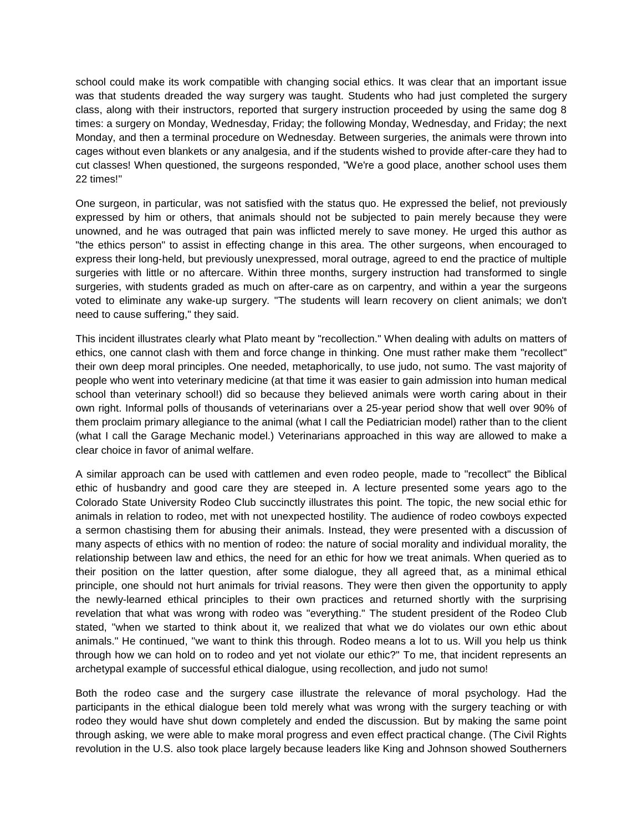school could make its work compatible with changing social ethics. It was clear that an important issue was that students dreaded the way surgery was taught. Students who had just completed the surgery class, along with their instructors, reported that surgery instruction proceeded by using the same dog 8 times: a surgery on Monday, Wednesday, Friday; the following Monday, Wednesday, and Friday; the next Monday, and then a terminal procedure on Wednesday. Between surgeries, the animals were thrown into cages without even blankets or any analgesia, and if the students wished to provide after-care they had to cut classes! When questioned, the surgeons responded, "We're a good place, another school uses them 22 times!"

One surgeon, in particular, was not satisfied with the status quo. He expressed the belief, not previously expressed by him or others, that animals should not be subjected to pain merely because they were unowned, and he was outraged that pain was inflicted merely to save money. He urged this author as "the ethics person" to assist in effecting change in this area. The other surgeons, when encouraged to express their long-held, but previously unexpressed, moral outrage, agreed to end the practice of multiple surgeries with little or no aftercare. Within three months, surgery instruction had transformed to single surgeries, with students graded as much on after-care as on carpentry, and within a year the surgeons voted to eliminate any wake-up surgery. "The students will learn recovery on client animals; we don't need to cause suffering," they said.

This incident illustrates clearly what Plato meant by "recollection." When dealing with adults on matters of ethics, one cannot clash with them and force change in thinking. One must rather make them "recollect" their own deep moral principles. One needed, metaphorically, to use judo, not sumo. The vast majority of people who went into veterinary medicine (at that time it was easier to gain admission into human medical school than veterinary school!) did so because they believed animals were worth caring about in their own right. Informal polls of thousands of veterinarians over a 25-year period show that well over 90% of them proclaim primary allegiance to the animal (what I call the Pediatrician model) rather than to the client (what I call the Garage Mechanic model.) Veterinarians approached in this way are allowed to make a clear choice in favor of animal welfare.

A similar approach can be used with cattlemen and even rodeo people, made to "recollect" the Biblical ethic of husbandry and good care they are steeped in. A lecture presented some years ago to the Colorado State University Rodeo Club succinctly illustrates this point. The topic, the new social ethic for animals in relation to rodeo, met with not unexpected hostility. The audience of rodeo cowboys expected a sermon chastising them for abusing their animals. Instead, they were presented with a discussion of many aspects of ethics with no mention of rodeo: the nature of social morality and individual morality, the relationship between law and ethics, the need for an ethic for how we treat animals. When queried as to their position on the latter question, after some dialogue, they all agreed that, as a minimal ethical principle, one should not hurt animals for trivial reasons. They were then given the opportunity to apply the newly-learned ethical principles to their own practices and returned shortly with the surprising revelation that what was wrong with rodeo was "everything." The student president of the Rodeo Club stated, "when we started to think about it, we realized that what we do violates our own ethic about animals." He continued, "we want to think this through. Rodeo means a lot to us. Will you help us think through how we can hold on to rodeo and yet not violate our ethic?" To me, that incident represents an archetypal example of successful ethical dialogue, using recollection, and judo not sumo!

Both the rodeo case and the surgery case illustrate the relevance of moral psychology. Had the participants in the ethical dialogue been told merely what was wrong with the surgery teaching or with rodeo they would have shut down completely and ended the discussion. But by making the same point through asking, we were able to make moral progress and even effect practical change. (The Civil Rights revolution in the U.S. also took place largely because leaders like King and Johnson showed Southerners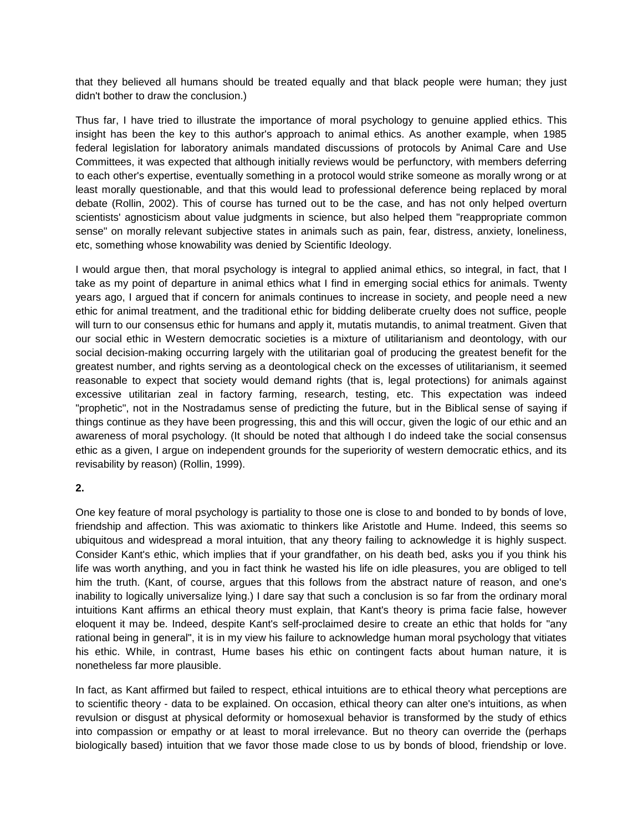that they believed all humans should be treated equally and that black people were human; they just didn't bother to draw the conclusion.)

Thus far, I have tried to illustrate the importance of moral psychology to genuine applied ethics. This insight has been the key to this author's approach to animal ethics. As another example, when 1985 federal legislation for laboratory animals mandated discussions of protocols by Animal Care and Use Committees, it was expected that although initially reviews would be perfunctory, with members deferring to each other's expertise, eventually something in a protocol would strike someone as morally wrong or at least morally questionable, and that this would lead to professional deference being replaced by moral debate (Rollin, 2002). This of course has turned out to be the case, and has not only helped overturn scientists' agnosticism about value judgments in science, but also helped them "reappropriate common sense" on morally relevant subjective states in animals such as pain, fear, distress, anxiety, loneliness, etc, something whose knowability was denied by Scientific Ideology.

I would argue then, that moral psychology is integral to applied animal ethics, so integral, in fact, that I take as my point of departure in animal ethics what I find in emerging social ethics for animals. Twenty years ago, I argued that if concern for animals continues to increase in society, and people need a new ethic for animal treatment, and the traditional ethic for bidding deliberate cruelty does not suffice, people will turn to our consensus ethic for humans and apply it, mutatis mutandis, to animal treatment. Given that our social ethic in Western democratic societies is a mixture of utilitarianism and deontology, with our social decision-making occurring largely with the utilitarian goal of producing the greatest benefit for the greatest number, and rights serving as a deontological check on the excesses of utilitarianism, it seemed reasonable to expect that society would demand rights (that is, legal protections) for animals against excessive utilitarian zeal in factory farming, research, testing, etc. This expectation was indeed "prophetic", not in the Nostradamus sense of predicting the future, but in the Biblical sense of saying if things continue as they have been progressing, this and this will occur, given the logic of our ethic and an awareness of moral psychology. (It should be noted that although I do indeed take the social consensus ethic as a given, I argue on independent grounds for the superiority of western democratic ethics, and its revisability by reason) (Rollin, 1999).

# **2.**

One key feature of moral psychology is partiality to those one is close to and bonded to by bonds of love, friendship and affection. This was axiomatic to thinkers like Aristotle and Hume. Indeed, this seems so ubiquitous and widespread a moral intuition, that any theory failing to acknowledge it is highly suspect. Consider Kant's ethic, which implies that if your grandfather, on his death bed, asks you if you think his life was worth anything, and you in fact think he wasted his life on idle pleasures, you are obliged to tell him the truth. (Kant, of course, argues that this follows from the abstract nature of reason, and one's inability to logically universalize lying.) I dare say that such a conclusion is so far from the ordinary moral intuitions Kant affirms an ethical theory must explain, that Kant's theory is prima facie false, however eloquent it may be. Indeed, despite Kant's self-proclaimed desire to create an ethic that holds for "any rational being in general", it is in my view his failure to acknowledge human moral psychology that vitiates his ethic. While, in contrast, Hume bases his ethic on contingent facts about human nature, it is nonetheless far more plausible.

In fact, as Kant affirmed but failed to respect, ethical intuitions are to ethical theory what perceptions are to scientific theory - data to be explained. On occasion, ethical theory can alter one's intuitions, as when revulsion or disgust at physical deformity or homosexual behavior is transformed by the study of ethics into compassion or empathy or at least to moral irrelevance. But no theory can override the (perhaps biologically based) intuition that we favor those made close to us by bonds of blood, friendship or love.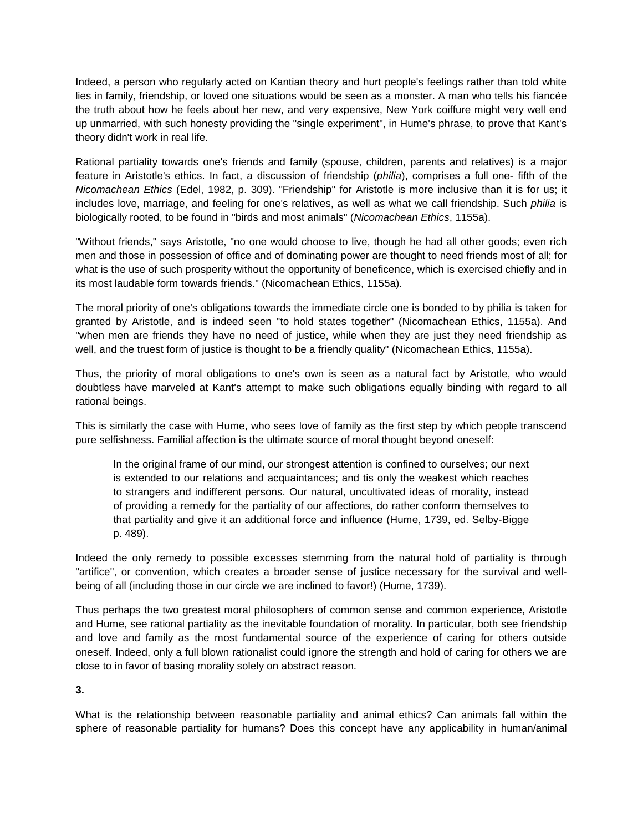Indeed, a person who regularly acted on Kantian theory and hurt people's feelings rather than told white lies in family, friendship, or loved one situations would be seen as a monster. A man who tells his fiancée the truth about how he feels about her new, and very expensive, New York coiffure might very well end up unmarried, with such honesty providing the "single experiment", in Hume's phrase, to prove that Kant's theory didn't work in real life.

Rational partiality towards one's friends and family (spouse, children, parents and relatives) is a major feature in Aristotle's ethics. In fact, a discussion of friendship (*philia*), comprises a full one- fifth of the *Nicomachean Ethics* (Edel, 1982, p. 309). "Friendship" for Aristotle is more inclusive than it is for us; it includes love, marriage, and feeling for one's relatives, as well as what we call friendship. Such *philia* is biologically rooted, to be found in "birds and most animals" (*Nicomachean Ethics*, 1155a).

"Without friends," says Aristotle, "no one would choose to live, though he had all other goods; even rich men and those in possession of office and of dominating power are thought to need friends most of all; for what is the use of such prosperity without the opportunity of beneficence, which is exercised chiefly and in its most laudable form towards friends." (Nicomachean Ethics, 1155a).

The moral priority of one's obligations towards the immediate circle one is bonded to by philia is taken for granted by Aristotle, and is indeed seen "to hold states together" (Nicomachean Ethics, 1155a). And "when men are friends they have no need of justice, while when they are just they need friendship as well, and the truest form of justice is thought to be a friendly quality" (Nicomachean Ethics, 1155a).

Thus, the priority of moral obligations to one's own is seen as a natural fact by Aristotle, who would doubtless have marveled at Kant's attempt to make such obligations equally binding with regard to all rational beings.

This is similarly the case with Hume, who sees love of family as the first step by which people transcend pure selfishness. Familial affection is the ultimate source of moral thought beyond oneself:

In the original frame of our mind, our strongest attention is confined to ourselves; our next is extended to our relations and acquaintances; and tis only the weakest which reaches to strangers and indifferent persons. Our natural, uncultivated ideas of morality, instead of providing a remedy for the partiality of our affections, do rather conform themselves to that partiality and give it an additional force and influence (Hume, 1739, ed. Selby-Bigge p. 489).

Indeed the only remedy to possible excesses stemming from the natural hold of partiality is through "artifice", or convention, which creates a broader sense of justice necessary for the survival and wellbeing of all (including those in our circle we are inclined to favor!) (Hume, 1739).

Thus perhaps the two greatest moral philosophers of common sense and common experience, Aristotle and Hume, see rational partiality as the inevitable foundation of morality. In particular, both see friendship and love and family as the most fundamental source of the experience of caring for others outside oneself. Indeed, only a full blown rationalist could ignore the strength and hold of caring for others we are close to in favor of basing morality solely on abstract reason.

**3.**

What is the relationship between reasonable partiality and animal ethics? Can animals fall within the sphere of reasonable partiality for humans? Does this concept have any applicability in human/animal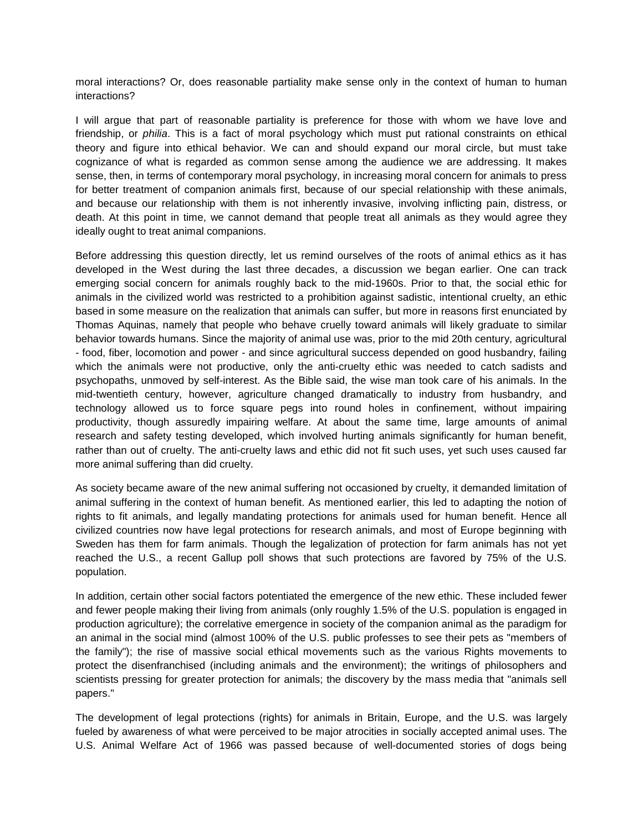moral interactions? Or, does reasonable partiality make sense only in the context of human to human interactions?

I will argue that part of reasonable partiality is preference for those with whom we have love and friendship, or *philia*. This is a fact of moral psychology which must put rational constraints on ethical theory and figure into ethical behavior. We can and should expand our moral circle, but must take cognizance of what is regarded as common sense among the audience we are addressing. It makes sense, then, in terms of contemporary moral psychology, in increasing moral concern for animals to press for better treatment of companion animals first, because of our special relationship with these animals, and because our relationship with them is not inherently invasive, involving inflicting pain, distress, or death. At this point in time, we cannot demand that people treat all animals as they would agree they ideally ought to treat animal companions.

Before addressing this question directly, let us remind ourselves of the roots of animal ethics as it has developed in the West during the last three decades, a discussion we began earlier. One can track emerging social concern for animals roughly back to the mid-1960s. Prior to that, the social ethic for animals in the civilized world was restricted to a prohibition against sadistic, intentional cruelty, an ethic based in some measure on the realization that animals can suffer, but more in reasons first enunciated by Thomas Aquinas, namely that people who behave cruelly toward animals will likely graduate to similar behavior towards humans. Since the majority of animal use was, prior to the mid 20th century, agricultural - food, fiber, locomotion and power - and since agricultural success depended on good husbandry, failing which the animals were not productive, only the anti-cruelty ethic was needed to catch sadists and psychopaths, unmoved by self-interest. As the Bible said, the wise man took care of his animals. In the mid-twentieth century, however, agriculture changed dramatically to industry from husbandry, and technology allowed us to force square pegs into round holes in confinement, without impairing productivity, though assuredly impairing welfare. At about the same time, large amounts of animal research and safety testing developed, which involved hurting animals significantly for human benefit, rather than out of cruelty. The anti-cruelty laws and ethic did not fit such uses, yet such uses caused far more animal suffering than did cruelty.

As society became aware of the new animal suffering not occasioned by cruelty, it demanded limitation of animal suffering in the context of human benefit. As mentioned earlier, this led to adapting the notion of rights to fit animals, and legally mandating protections for animals used for human benefit. Hence all civilized countries now have legal protections for research animals, and most of Europe beginning with Sweden has them for farm animals. Though the legalization of protection for farm animals has not yet reached the U.S., a recent Gallup poll shows that such protections are favored by 75% of the U.S. population.

In addition, certain other social factors potentiated the emergence of the new ethic. These included fewer and fewer people making their living from animals (only roughly 1.5% of the U.S. population is engaged in production agriculture); the correlative emergence in society of the companion animal as the paradigm for an animal in the social mind (almost 100% of the U.S. public professes to see their pets as "members of the family"); the rise of massive social ethical movements such as the various Rights movements to protect the disenfranchised (including animals and the environment); the writings of philosophers and scientists pressing for greater protection for animals; the discovery by the mass media that "animals sell papers."

The development of legal protections (rights) for animals in Britain, Europe, and the U.S. was largely fueled by awareness of what were perceived to be major atrocities in socially accepted animal uses. The U.S. Animal Welfare Act of 1966 was passed because of well-documented stories of dogs being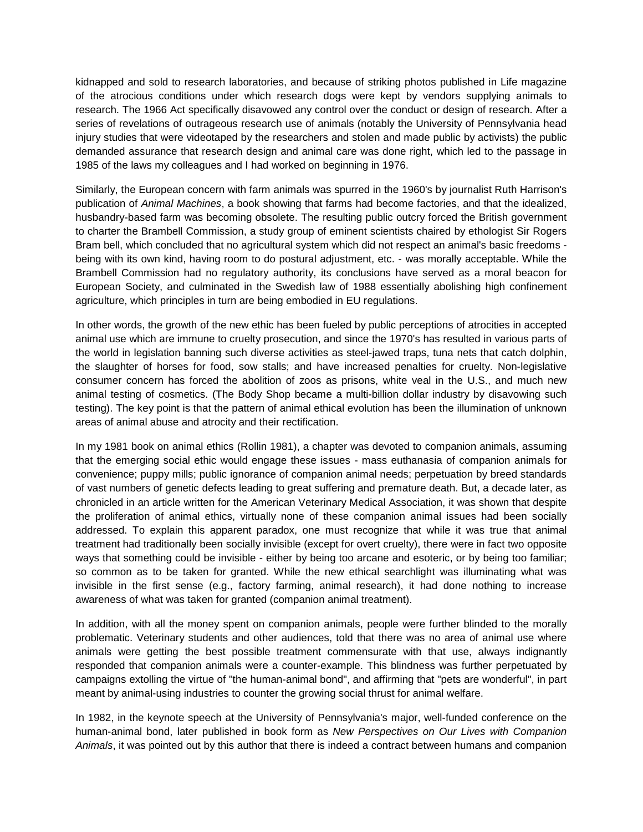kidnapped and sold to research laboratories, and because of striking photos published in Life magazine of the atrocious conditions under which research dogs were kept by vendors supplying animals to research. The 1966 Act specifically disavowed any control over the conduct or design of research. After a series of revelations of outrageous research use of animals (notably the University of Pennsylvania head injury studies that were videotaped by the researchers and stolen and made public by activists) the public demanded assurance that research design and animal care was done right, which led to the passage in 1985 of the laws my colleagues and I had worked on beginning in 1976.

Similarly, the European concern with farm animals was spurred in the 1960's by journalist Ruth Harrison's publication of *Animal Machines*, a book showing that farms had become factories, and that the idealized, husbandry-based farm was becoming obsolete. The resulting public outcry forced the British government to charter the Brambell Commission, a study group of eminent scientists chaired by ethologist Sir Rogers Bram bell, which concluded that no agricultural system which did not respect an animal's basic freedoms being with its own kind, having room to do postural adjustment, etc. - was morally acceptable. While the Brambell Commission had no regulatory authority, its conclusions have served as a moral beacon for European Society, and culminated in the Swedish law of 1988 essentially abolishing high confinement agriculture, which principles in turn are being embodied in EU regulations.

In other words, the growth of the new ethic has been fueled by public perceptions of atrocities in accepted animal use which are immune to cruelty prosecution, and since the 1970's has resulted in various parts of the world in legislation banning such diverse activities as steel-jawed traps, tuna nets that catch dolphin, the slaughter of horses for food, sow stalls; and have increased penalties for cruelty. Non-legislative consumer concern has forced the abolition of zoos as prisons, white veal in the U.S., and much new animal testing of cosmetics. (The Body Shop became a multi-billion dollar industry by disavowing such testing). The key point is that the pattern of animal ethical evolution has been the illumination of unknown areas of animal abuse and atrocity and their rectification.

In my 1981 book on animal ethics (Rollin 1981), a chapter was devoted to companion animals, assuming that the emerging social ethic would engage these issues - mass euthanasia of companion animals for convenience; puppy mills; public ignorance of companion animal needs; perpetuation by breed standards of vast numbers of genetic defects leading to great suffering and premature death. But, a decade later, as chronicled in an article written for the American Veterinary Medical Association, it was shown that despite the proliferation of animal ethics, virtually none of these companion animal issues had been socially addressed. To explain this apparent paradox, one must recognize that while it was true that animal treatment had traditionally been socially invisible (except for overt cruelty), there were in fact two opposite ways that something could be invisible - either by being too arcane and esoteric, or by being too familiar; so common as to be taken for granted. While the new ethical searchlight was illuminating what was invisible in the first sense (e.g., factory farming, animal research), it had done nothing to increase awareness of what was taken for granted (companion animal treatment).

In addition, with all the money spent on companion animals, people were further blinded to the morally problematic. Veterinary students and other audiences, told that there was no area of animal use where animals were getting the best possible treatment commensurate with that use, always indignantly responded that companion animals were a counter-example. This blindness was further perpetuated by campaigns extolling the virtue of "the human-animal bond", and affirming that "pets are wonderful", in part meant by animal-using industries to counter the growing social thrust for animal welfare.

In 1982, in the keynote speech at the University of Pennsylvania's major, well-funded conference on the human-animal bond, later published in book form as *New Perspectives on Our Lives with Companion Animals*, it was pointed out by this author that there is indeed a contract between humans and companion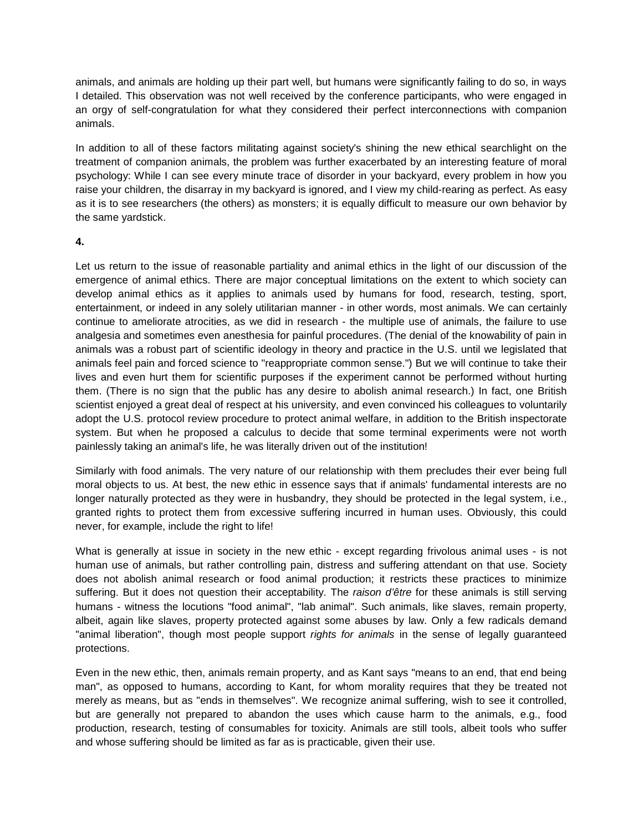animals, and animals are holding up their part well, but humans were significantly failing to do so, in ways I detailed. This observation was not well received by the conference participants, who were engaged in an orgy of self-congratulation for what they considered their perfect interconnections with companion animals.

In addition to all of these factors militating against society's shining the new ethical searchlight on the treatment of companion animals, the problem was further exacerbated by an interesting feature of moral psychology: While I can see every minute trace of disorder in your backyard, every problem in how you raise your children, the disarray in my backyard is ignored, and I view my child-rearing as perfect. As easy as it is to see researchers (the others) as monsters; it is equally difficult to measure our own behavior by the same yardstick.

### **4.**

Let us return to the issue of reasonable partiality and animal ethics in the light of our discussion of the emergence of animal ethics. There are major conceptual limitations on the extent to which society can develop animal ethics as it applies to animals used by humans for food, research, testing, sport, entertainment, or indeed in any solely utilitarian manner - in other words, most animals. We can certainly continue to ameliorate atrocities, as we did in research - the multiple use of animals, the failure to use analgesia and sometimes even anesthesia for painful procedures. (The denial of the knowability of pain in animals was a robust part of scientific ideology in theory and practice in the U.S. until we legislated that animals feel pain and forced science to "reappropriate common sense.") But we will continue to take their lives and even hurt them for scientific purposes if the experiment cannot be performed without hurting them. (There is no sign that the public has any desire to abolish animal research.) In fact, one British scientist enjoyed a great deal of respect at his university, and even convinced his colleagues to voluntarily adopt the U.S. protocol review procedure to protect animal welfare, in addition to the British inspectorate system. But when he proposed a calculus to decide that some terminal experiments were not worth painlessly taking an animal's life, he was literally driven out of the institution!

Similarly with food animals. The very nature of our relationship with them precludes their ever being full moral objects to us. At best, the new ethic in essence says that if animals' fundamental interests are no longer naturally protected as they were in husbandry, they should be protected in the legal system, i.e., granted rights to protect them from excessive suffering incurred in human uses. Obviously, this could never, for example, include the right to life!

What is generally at issue in society in the new ethic - except regarding frivolous animal uses - is not human use of animals, but rather controlling pain, distress and suffering attendant on that use. Society does not abolish animal research or food animal production; it restricts these practices to minimize suffering. But it does not question their acceptability. The *raison d'être* for these animals is still serving humans - witness the locutions "food animal", "lab animal". Such animals, like slaves, remain property, albeit, again like slaves, property protected against some abuses by law. Only a few radicals demand "animal liberation", though most people support *rights for animals* in the sense of legally guaranteed protections.

Even in the new ethic, then, animals remain property, and as Kant says "means to an end, that end being man", as opposed to humans, according to Kant, for whom morality requires that they be treated not merely as means, but as "ends in themselves". We recognize animal suffering, wish to see it controlled, but are generally not prepared to abandon the uses which cause harm to the animals, e.g., food production, research, testing of consumables for toxicity. Animals are still tools, albeit tools who suffer and whose suffering should be limited as far as is practicable, given their use.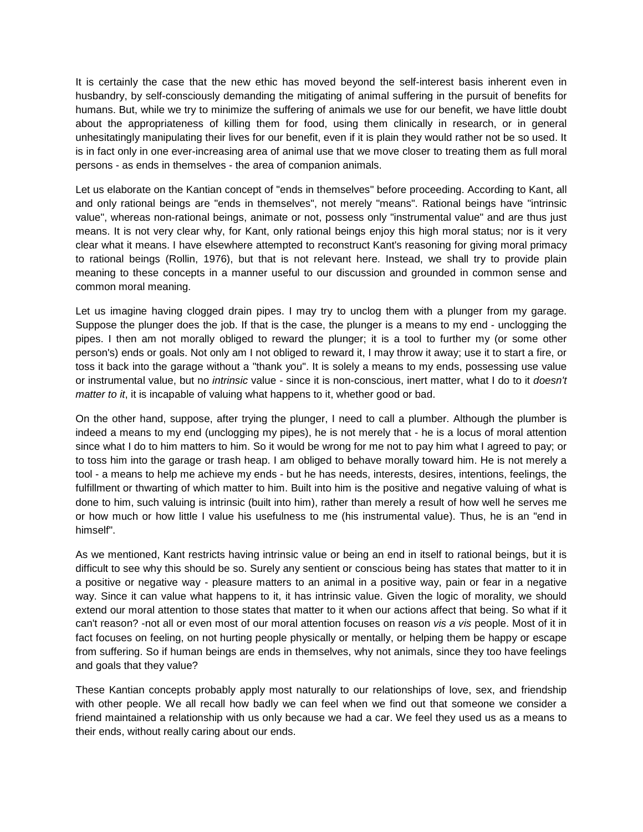It is certainly the case that the new ethic has moved beyond the self-interest basis inherent even in husbandry, by self-consciously demanding the mitigating of animal suffering in the pursuit of benefits for humans. But, while we try to minimize the suffering of animals we use for our benefit, we have little doubt about the appropriateness of killing them for food, using them clinically in research, or in general unhesitatingly manipulating their lives for our benefit, even if it is plain they would rather not be so used. It is in fact only in one ever-increasing area of animal use that we move closer to treating them as full moral persons - as ends in themselves - the area of companion animals.

Let us elaborate on the Kantian concept of "ends in themselves" before proceeding. According to Kant, all and only rational beings are "ends in themselves", not merely "means". Rational beings have "intrinsic value", whereas non-rational beings, animate or not, possess only "instrumental value" and are thus just means. It is not very clear why, for Kant, only rational beings enjoy this high moral status; nor is it very clear what it means. I have elsewhere attempted to reconstruct Kant's reasoning for giving moral primacy to rational beings (Rollin, 1976), but that is not relevant here. Instead, we shall try to provide plain meaning to these concepts in a manner useful to our discussion and grounded in common sense and common moral meaning.

Let us imagine having clogged drain pipes. I may try to unclog them with a plunger from my garage. Suppose the plunger does the job. If that is the case, the plunger is a means to my end - unclogging the pipes. I then am not morally obliged to reward the plunger; it is a tool to further my (or some other person's) ends or goals. Not only am I not obliged to reward it, I may throw it away; use it to start a fire, or toss it back into the garage without a "thank you". It is solely a means to my ends, possessing use value or instrumental value, but no *intrinsic* value - since it is non-conscious, inert matter, what I do to it *doesn't matter to it*, it is incapable of valuing what happens to it, whether good or bad.

On the other hand, suppose, after trying the plunger, I need to call a plumber. Although the plumber is indeed a means to my end (unclogging my pipes), he is not merely that - he is a locus of moral attention since what I do to him matters to him. So it would be wrong for me not to pay him what I agreed to pay; or to toss him into the garage or trash heap. I am obliged to behave morally toward him. He is not merely a tool - a means to help me achieve my ends - but he has needs, interests, desires, intentions, feelings, the fulfillment or thwarting of which matter to him. Built into him is the positive and negative valuing of what is done to him, such valuing is intrinsic (built into him), rather than merely a result of how well he serves me or how much or how little I value his usefulness to me (his instrumental value). Thus, he is an "end in himself".

As we mentioned, Kant restricts having intrinsic value or being an end in itself to rational beings, but it is difficult to see why this should be so. Surely any sentient or conscious being has states that matter to it in a positive or negative way - pleasure matters to an animal in a positive way, pain or fear in a negative way. Since it can value what happens to it, it has intrinsic value. Given the logic of morality, we should extend our moral attention to those states that matter to it when our actions affect that being. So what if it can't reason? -not all or even most of our moral attention focuses on reason *vis a vis* people. Most of it in fact focuses on feeling, on not hurting people physically or mentally, or helping them be happy or escape from suffering. So if human beings are ends in themselves, why not animals, since they too have feelings and goals that they value?

These Kantian concepts probably apply most naturally to our relationships of love, sex, and friendship with other people. We all recall how badly we can feel when we find out that someone we consider a friend maintained a relationship with us only because we had a car. We feel they used us as a means to their ends, without really caring about our ends.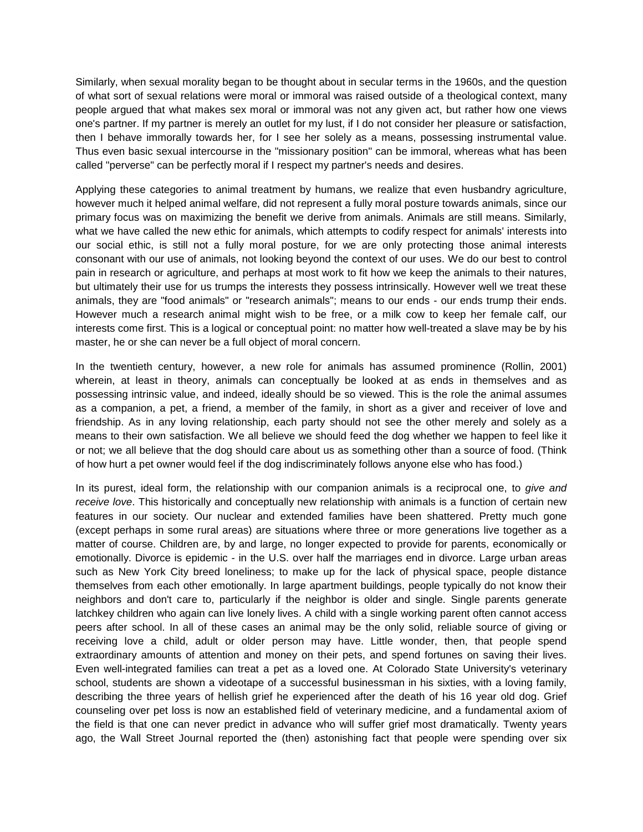Similarly, when sexual morality began to be thought about in secular terms in the 1960s, and the question of what sort of sexual relations were moral or immoral was raised outside of a theological context, many people argued that what makes sex moral or immoral was not any given act, but rather how one views one's partner. If my partner is merely an outlet for my lust, if I do not consider her pleasure or satisfaction, then I behave immorally towards her, for I see her solely as a means, possessing instrumental value. Thus even basic sexual intercourse in the "missionary position" can be immoral, whereas what has been called "perverse" can be perfectly moral if I respect my partner's needs and desires.

Applying these categories to animal treatment by humans, we realize that even husbandry agriculture, however much it helped animal welfare, did not represent a fully moral posture towards animals, since our primary focus was on maximizing the benefit we derive from animals. Animals are still means. Similarly, what we have called the new ethic for animals, which attempts to codify respect for animals' interests into our social ethic, is still not a fully moral posture, for we are only protecting those animal interests consonant with our use of animals, not looking beyond the context of our uses. We do our best to control pain in research or agriculture, and perhaps at most work to fit how we keep the animals to their natures, but ultimately their use for us trumps the interests they possess intrinsically. However well we treat these animals, they are "food animals" or "research animals"; means to our ends - our ends trump their ends. However much a research animal might wish to be free, or a milk cow to keep her female calf, our interests come first. This is a logical or conceptual point: no matter how well-treated a slave may be by his master, he or she can never be a full object of moral concern.

In the twentieth century, however, a new role for animals has assumed prominence (Rollin, 2001) wherein, at least in theory, animals can conceptually be looked at as ends in themselves and as possessing intrinsic value, and indeed, ideally should be so viewed. This is the role the animal assumes as a companion, a pet, a friend, a member of the family, in short as a giver and receiver of love and friendship. As in any loving relationship, each party should not see the other merely and solely as a means to their own satisfaction. We all believe we should feed the dog whether we happen to feel like it or not; we all believe that the dog should care about us as something other than a source of food. (Think of how hurt a pet owner would feel if the dog indiscriminately follows anyone else who has food.)

In its purest, ideal form, the relationship with our companion animals is a reciprocal one, to *give and receive love*. This historically and conceptually new relationship with animals is a function of certain new features in our society. Our nuclear and extended families have been shattered. Pretty much gone (except perhaps in some rural areas) are situations where three or more generations live together as a matter of course. Children are, by and large, no longer expected to provide for parents, economically or emotionally. Divorce is epidemic - in the U.S. over half the marriages end in divorce. Large urban areas such as New York City breed loneliness; to make up for the lack of physical space, people distance themselves from each other emotionally. In large apartment buildings, people typically do not know their neighbors and don't care to, particularly if the neighbor is older and single. Single parents generate latchkey children who again can live lonely lives. A child with a single working parent often cannot access peers after school. In all of these cases an animal may be the only solid, reliable source of giving or receiving love a child, adult or older person may have. Little wonder, then, that people spend extraordinary amounts of attention and money on their pets, and spend fortunes on saving their lives. Even well-integrated families can treat a pet as a loved one. At Colorado State University's veterinary school, students are shown a videotape of a successful businessman in his sixties, with a loving family, describing the three years of hellish grief he experienced after the death of his 16 year old dog. Grief counseling over pet loss is now an established field of veterinary medicine, and a fundamental axiom of the field is that one can never predict in advance who will suffer grief most dramatically. Twenty years ago, the Wall Street Journal reported the (then) astonishing fact that people were spending over six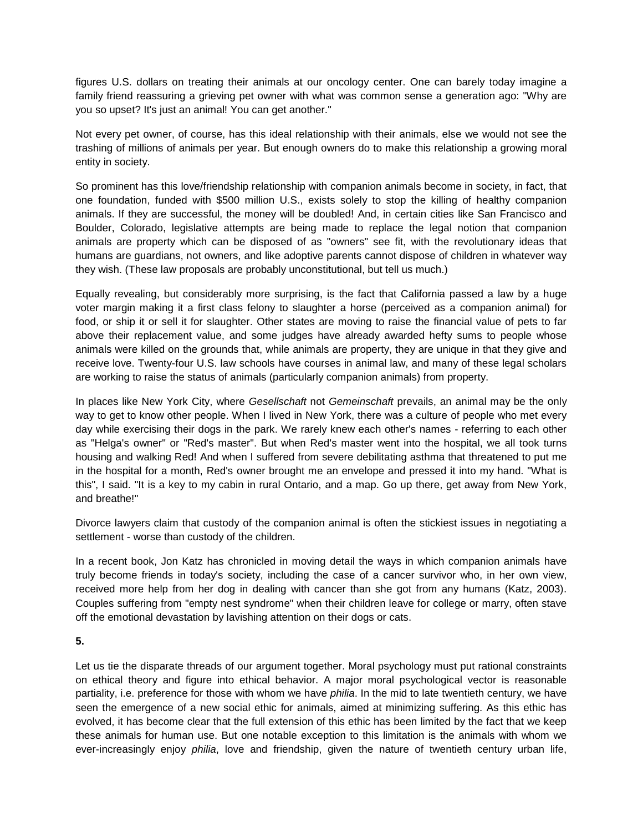figures U.S. dollars on treating their animals at our oncology center. One can barely today imagine a family friend reassuring a grieving pet owner with what was common sense a generation ago: "Why are you so upset? It's just an animal! You can get another."

Not every pet owner, of course, has this ideal relationship with their animals, else we would not see the trashing of millions of animals per year. But enough owners do to make this relationship a growing moral entity in society.

So prominent has this love/friendship relationship with companion animals become in society, in fact, that one foundation, funded with \$500 million U.S., exists solely to stop the killing of healthy companion animals. If they are successful, the money will be doubled! And, in certain cities like San Francisco and Boulder, Colorado, legislative attempts are being made to replace the legal notion that companion animals are property which can be disposed of as "owners" see fit, with the revolutionary ideas that humans are guardians, not owners, and like adoptive parents cannot dispose of children in whatever way they wish. (These law proposals are probably unconstitutional, but tell us much.)

Equally revealing, but considerably more surprising, is the fact that California passed a law by a huge voter margin making it a first class felony to slaughter a horse (perceived as a companion animal) for food, or ship it or sell it for slaughter. Other states are moving to raise the financial value of pets to far above their replacement value, and some judges have already awarded hefty sums to people whose animals were killed on the grounds that, while animals are property, they are unique in that they give and receive love. Twenty-four U.S. law schools have courses in animal law, and many of these legal scholars are working to raise the status of animals (particularly companion animals) from property.

In places like New York City, where *Gesellschaft* not *Gemeinschaft* prevails, an animal may be the only way to get to know other people. When I lived in New York, there was a culture of people who met every day while exercising their dogs in the park. We rarely knew each other's names - referring to each other as "Helga's owner" or "Red's master". But when Red's master went into the hospital, we all took turns housing and walking Red! And when I suffered from severe debilitating asthma that threatened to put me in the hospital for a month, Red's owner brought me an envelope and pressed it into my hand. "What is this", I said. "It is a key to my cabin in rural Ontario, and a map. Go up there, get away from New York, and breathe!"

Divorce lawyers claim that custody of the companion animal is often the stickiest issues in negotiating a settlement - worse than custody of the children.

In a recent book, Jon Katz has chronicled in moving detail the ways in which companion animals have truly become friends in today's society, including the case of a cancer survivor who, in her own view, received more help from her dog in dealing with cancer than she got from any humans (Katz, 2003). Couples suffering from "empty nest syndrome" when their children leave for college or marry, often stave off the emotional devastation by lavishing attention on their dogs or cats.

# **5.**

Let us tie the disparate threads of our argument together. Moral psychology must put rational constraints on ethical theory and figure into ethical behavior. A major moral psychological vector is reasonable partiality, i.e. preference for those with whom we have *philia*. In the mid to late twentieth century, we have seen the emergence of a new social ethic for animals, aimed at minimizing suffering. As this ethic has evolved, it has become clear that the full extension of this ethic has been limited by the fact that we keep these animals for human use. But one notable exception to this limitation is the animals with whom we ever-increasingly enjoy *philia*, love and friendship, given the nature of twentieth century urban life,